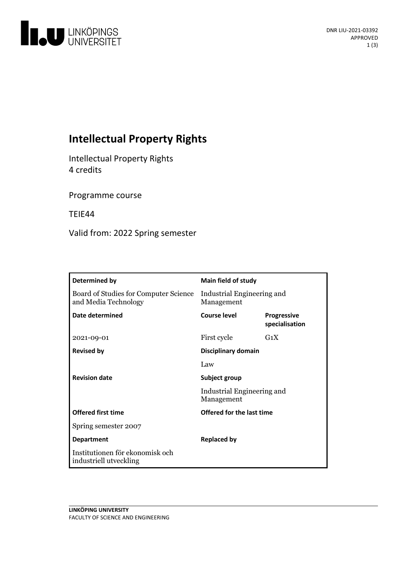

# **Intellectual Property Rights**

Intellectual Property Rights 4 credits

Programme course

TEIE44

Valid from: 2022 Spring semester

| Determined by                                                 | Main field of study                      |                                      |
|---------------------------------------------------------------|------------------------------------------|--------------------------------------|
| Board of Studies for Computer Science<br>and Media Technology | Industrial Engineering and<br>Management |                                      |
| Date determined                                               | Course level                             | <b>Progressive</b><br>specialisation |
| 2021-09-01                                                    | First cycle                              | $G_1X$                               |
| <b>Revised by</b>                                             | Disciplinary domain                      |                                      |
|                                                               | Law                                      |                                      |
| <b>Revision date</b>                                          | Subject group                            |                                      |
|                                                               | Industrial Engineering and<br>Management |                                      |
| <b>Offered first time</b>                                     | Offered for the last time                |                                      |
| Spring semester 2007                                          |                                          |                                      |
| <b>Department</b>                                             | <b>Replaced by</b>                       |                                      |
| Institutionen för ekonomisk och<br>industriell utveckling     |                                          |                                      |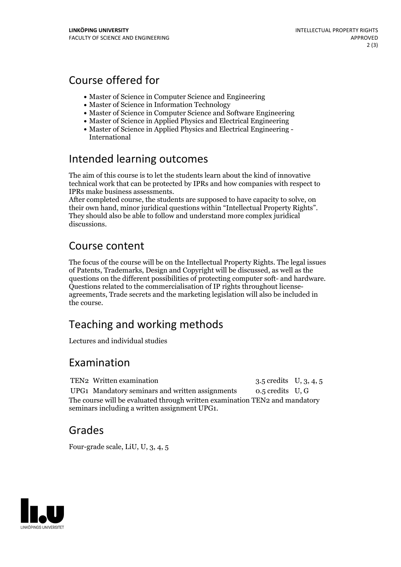## Course offered for

- Master of Science in Computer Science and Engineering
- Master of Science in Information Technology
- Master of Science in Computer Science and Software Engineering
- Master of Science in Applied Physics and Electrical Engineering
- Master of Science in Applied Physics and Electrical Engineering International

### Intended learning outcomes

The aim of this course is to letthe students learn about the kind of innovative technical work that can be protected by IPRs and how companies with respect to IPRs make business assessments. After completed course, the students are supposed to have capacity to solve, on

their own hand, minor juridical questions within "Intellectual Property Rights". They should also be able to follow and understand more complex juridical discussions.

## Course content

The focus of the course will be on the Intellectual Property Rights. The legal issues of Patents, Trademarks, Design and Copyright will be discussed, as well as the questions on the different possibilities of protecting computer soft- and hardware.<br>Questions related to the commercialisation of IP rights throughout license-<br>agreements. Trade secrets and the marketing legislation will a the course.

# Teaching and working methods

Lectures and individual studies

### Examination

TEN2 Written examination 3.5 credits U, 3, 4, 5 UPG1 Mandatory seminars and written assignments 0.5 credits U, G The course will be evaluated through written examination TEN2 and mandatory seminars including a written assignment UPG1.

### Grades

Four-grade scale, LiU, U, 3, 4, 5